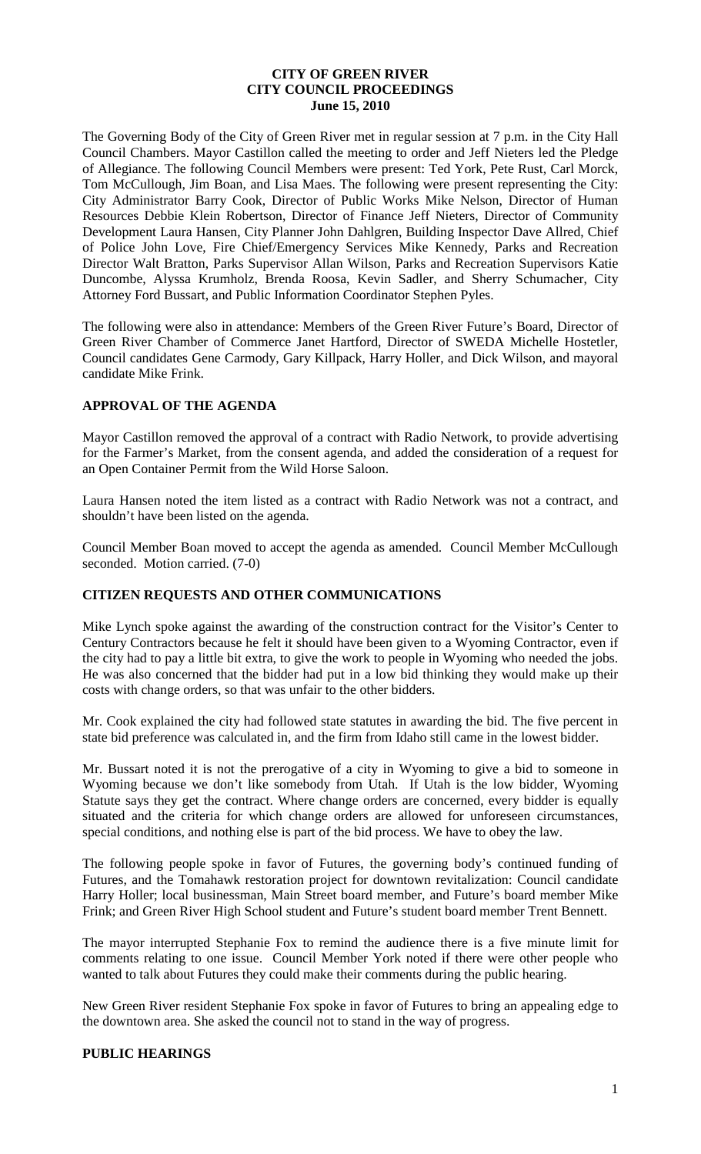#### **CITY OF GREEN RIVER CITY COUNCIL PROCEEDINGS June 15, 2010**

The Governing Body of the City of Green River met in regular session at 7 p.m. in the City Hall Council Chambers. Mayor Castillon called the meeting to order and Jeff Nieters led the Pledge of Allegiance. The following Council Members were present: Ted York, Pete Rust, Carl Morck, Tom McCullough, Jim Boan, and Lisa Maes. The following were present representing the City: City Administrator Barry Cook, Director of Public Works Mike Nelson, Director of Human Resources Debbie Klein Robertson, Director of Finance Jeff Nieters, Director of Community Development Laura Hansen, City Planner John Dahlgren, Building Inspector Dave Allred, Chief of Police John Love, Fire Chief/Emergency Services Mike Kennedy, Parks and Recreation Director Walt Bratton, Parks Supervisor Allan Wilson, Parks and Recreation Supervisors Katie Duncombe, Alyssa Krumholz, Brenda Roosa, Kevin Sadler, and Sherry Schumacher, City Attorney Ford Bussart, and Public Information Coordinator Stephen Pyles.

The following were also in attendance: Members of the Green River Future's Board, Director of Green River Chamber of Commerce Janet Hartford, Director of SWEDA Michelle Hostetler, Council candidates Gene Carmody, Gary Killpack, Harry Holler, and Dick Wilson, and mayoral candidate Mike Frink.

### **APPROVAL OF THE AGENDA**

Mayor Castillon removed the approval of a contract with Radio Network, to provide advertising for the Farmer's Market, from the consent agenda, and added the consideration of a request for an Open Container Permit from the Wild Horse Saloon.

Laura Hansen noted the item listed as a contract with Radio Network was not a contract, and shouldn't have been listed on the agenda.

Council Member Boan moved to accept the agenda as amended. Council Member McCullough seconded. Motion carried. (7-0)

### **CITIZEN REQUESTS AND OTHER COMMUNICATIONS**

Mike Lynch spoke against the awarding of the construction contract for the Visitor's Center to Century Contractors because he felt it should have been given to a Wyoming Contractor, even if the city had to pay a little bit extra, to give the work to people in Wyoming who needed the jobs. He was also concerned that the bidder had put in a low bid thinking they would make up their costs with change orders, so that was unfair to the other bidders.

Mr. Cook explained the city had followed state statutes in awarding the bid. The five percent in state bid preference was calculated in, and the firm from Idaho still came in the lowest bidder.

Mr. Bussart noted it is not the prerogative of a city in Wyoming to give a bid to someone in Wyoming because we don't like somebody from Utah. If Utah is the low bidder, Wyoming Wyoming Statute says they get the contract. Where change orders are concerned, every bidder is equally situated and the criteria for which change orders are allowed for unforeseen circumstances, special conditions, and nothing else is part of the bid process. We have to obey the law.

The following people spoke in favor of Futures, the governing body's continued funding of Futures, and the Tomahawk restoration project for downtown revitalization: Council candidate Harry Holler; local businessman, Main Street board member, and Future's board member Mike Frink; and Green River High School student and Future's student board member Trent Bennett.

The mayor interrupted Stephanie Fox to remind the audience there is a five minute limit for comments relating to one issue. Council Member York noted if there were other people who wanted to talk about Futures they could make their comments during the public hearing.

New Green River resident Stephanie Fox spoke in favor of Futures to bring an appealing edge to the downtown area. She asked the council not to stand in the way of progress.

#### **PUBLIC HEARINGS**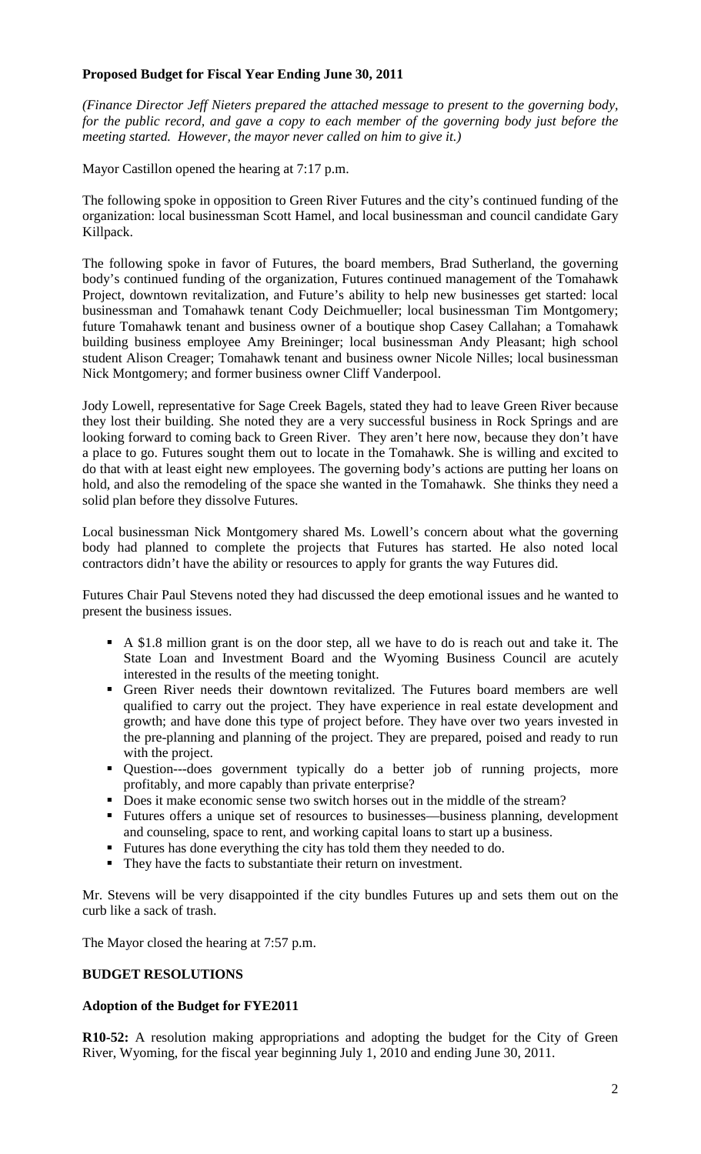## **Proposed Budget for Fiscal Year Ending June 30, 2011**

*(Finance Director Jeff Nieters prepared the attached message to present to the governing body, for the public record, and gave a copy to each member of the governing body just before the meeting started. However, the mayor never called on him to give it.)*

Mayor Castillon opened the hearing at 7:17 p.m.

The following spoke in opposition to Green River Futures and the city's continued funding of the organization: local businessman Scott Hamel, and local businessman and council candidate Gary Killpack.

The following spoke in favor of Futures, the board members, Brad Sutherland, the governing body's continued funding of the organization, Futures continued management of the Tomahawk Project, downtown revitalization, and Future's ability to help new businesses get started: local businessman and Tomahawk tenant Cody Deichmueller; local businessman Tim Montgomery; future Tomahawk tenant and business owner of a boutique shop Casey Callahan; a Tomahawk building business employee Amy Breininger; local businessman Andy Pleasant; high school student Alison Creager; Tomahawk tenant and business owner Nicole Nilles; local businessman Nick Montgomery; and former business owner Cliff Vanderpool.

Jody Lowell, representative for Sage Creek Bagels, stated they had to leave Green River because they lost their building. She noted they are a very successful business in Rock Springs and are looking forward to coming back to Green River. They aren't here now, because they don't have a place to go. Futures sought them out to locate in the Tomahawk. She is willing and excited to do that with at least eight new employees. The governing body's actions are putting her loans on hold, and also the remodeling of the space she wanted in the Tomahawk. She thinks they need a solid plan before they dissolve Futures.

Local businessman Nick Montgomery shared Ms. Lowell's concern about what the governing body had planned to complete the projects that Futures has started. He also noted local contractors didn't have the ability or resources to apply for grants the way Futures did.

Futures Chair Paul Stevens noted they had discussed the deep emotional issues and he wanted to present the business issues.

- A \$1.8 million grant is on the door step, all we have to do is reach out and take it. The State Loan and Investment Board and the Wyoming Business Council are acutely interested in the results of the meeting tonight.
- Green River needs their downtown revitalized. The Futures board members are well qualified to carry out the project. They have experience in real estate development and growth; and have done this type of project before. They have over two years invested in the pre-planning and planning of the project. They are prepared, poised and ready to run with the project.
- Question---does government typically do a better job of running projects, more profitably, and more capably than private enterprise?
- Does it make economic sense two switch horses out in the middle of the stream?
- Futures offers a unique set of resources to businesses—business planning, development and counseling, space to rent, and working capital loans to start up a business.
- Futures has done everything the city has told them they needed to do.
- They have the facts to substantiate their return on investment.

Mr. Stevens will be very disappointed if the city bundles Futures up and sets them out on the curb like a sack of trash.

The Mayor closed the hearing at 7:57 p.m.

### **BUDGET RESOLUTIONS**

### **Adoption of the Budget for FYE2011**

**R10-52:** A resolution making appropriations and adopting the budget for the City of Green River, Wyoming, for the fiscal year beginning July 1, 2010 and ending June 30, 2011.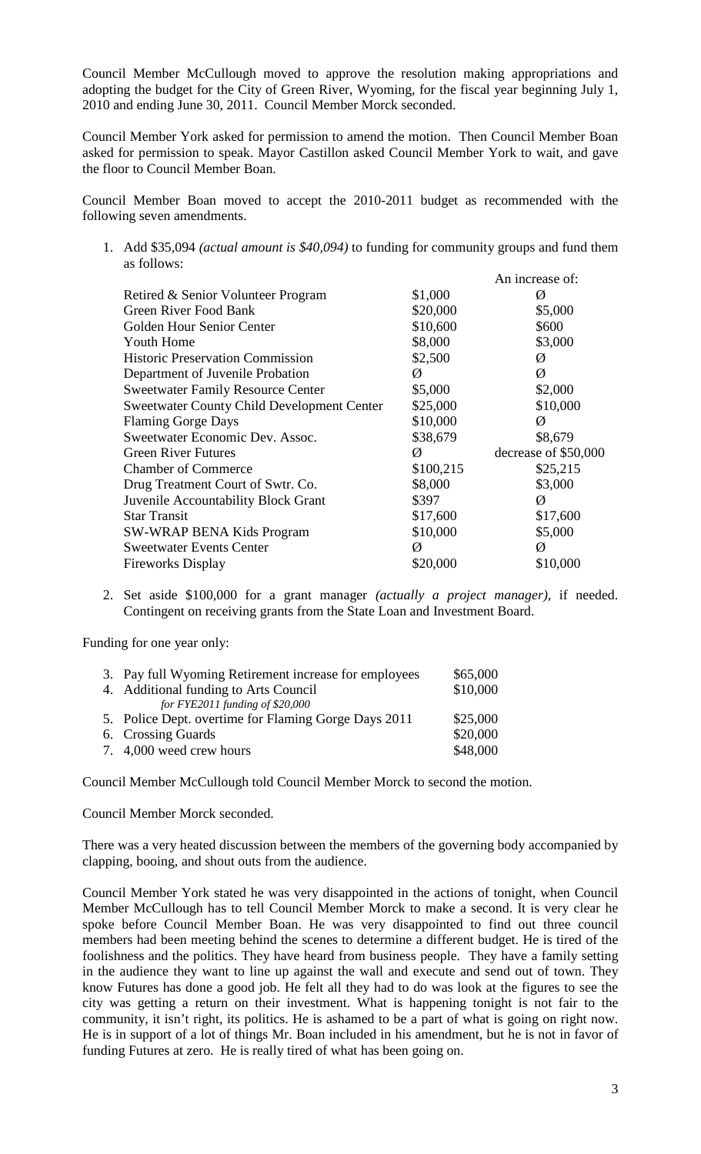Council Member McCullough moved to approve the resolution making appropriations and adopting the budget for the City of Green River, Wyoming, for the fiscal year beginning July 1, 2010 and ending June 30, 2011. Council Member Morck seconded.

Council Member York asked for permission to amend the motion. Then Council Member Boan asked for permission to speak. Mayor Castillon asked Council Member York to wait, and gave the floor to Council Member Boan.

Council Member Boan moved to accept the 2010-2011 budget as recommended with the following seven amendments.

1. Add \$35,094 *(actual amount is \$40,094)* to funding for community groups and fund them as follows:  $\Lambda$ n increase of:

|                                                   |           | AII IIIUUGASU UL.    |
|---------------------------------------------------|-----------|----------------------|
| Retired & Senior Volunteer Program                | \$1,000   | Ø                    |
| Green River Food Bank                             | \$20,000  | \$5,000              |
| Golden Hour Senior Center                         | \$10,600  | \$600                |
| <b>Youth Home</b>                                 | \$8,000   | \$3,000              |
| <b>Historic Preservation Commission</b>           | \$2,500   | Ø                    |
| Department of Juvenile Probation                  | Ø         | Ø                    |
| <b>Sweetwater Family Resource Center</b>          | \$5,000   | \$2,000              |
| <b>Sweetwater County Child Development Center</b> | \$25,000  | \$10,000             |
| <b>Flaming Gorge Days</b>                         | \$10,000  | Ø                    |
| Sweetwater Economic Dev. Assoc.                   | \$38,679  | \$8,679              |
| <b>Green River Futures</b>                        | Ø         | decrease of \$50,000 |
| <b>Chamber of Commerce</b>                        | \$100,215 | \$25,215             |
| Drug Treatment Court of Swtr. Co.                 | \$8,000   | \$3,000              |
| Juvenile Accountability Block Grant               | \$397     | Ø                    |
| <b>Star Transit</b>                               | \$17,600  | \$17,600             |
| <b>SW-WRAP BENA Kids Program</b>                  | \$10,000  | \$5,000              |
| <b>Sweetwater Events Center</b>                   | Ø         | Ø                    |
| <b>Fireworks Display</b>                          | \$20,000  | \$10,000             |
|                                                   |           |                      |

2. Set aside \$100,000 for a grant manager *(actually a project manager)*, if needed. Contingent on receiving grants from the State Loan and Investment Board.

Funding for one year only:

| 3. Pay full Wyoming Retirement increase for employees | \$65,000 |
|-------------------------------------------------------|----------|
| 4. Additional funding to Arts Council                 | \$10,000 |
| for FYE2011 funding of $$20,000$                      |          |
| 5. Police Dept. overtime for Flaming Gorge Days 2011  | \$25,000 |
| 6. Crossing Guards                                    | \$20,000 |
| 7. 4,000 weed crew hours                              | \$48,000 |

Council Member McCullough told Council Member Morck to second the motion.

Council Member Morck seconded.

There was a very heated discussion between the members of the governing body accompanied by clapping, booing, and shout outs from the audience.

Council Member York stated he was very disappointed in the actions of tonight, when Council Member McCullough has to tell Council Member Morck to make a second. It is very clear he spoke before Council Member Boan. He was very disappointed to find out three council members had been meeting behind the scenes to determine a different budget. He is tired of the foolishness and the politics. They have heard from business people. They have a family setting in the audience they want to line up against the wall and execute and send out of town. They know Futures has done a good job. He felt all they had to do was look at the figures to see the city was getting a return on their investment. What is happening tonight is not fair to the community, it isn't right, its politics. He is ashamed to be a part of what is going on right now. He is in support of a lot of things Mr. Boan included in his amendment, but he is not in favor of funding Futures at zero. He is really tired of what has been going on.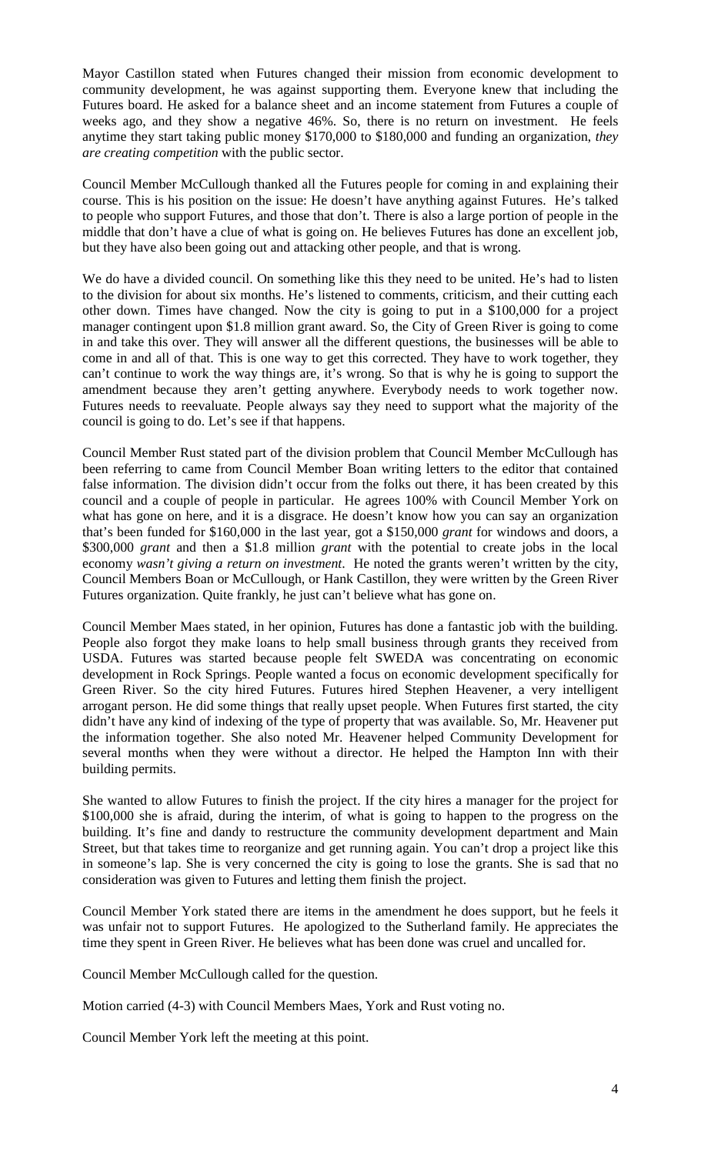Mayor Castillon stated when Futures changed their mission from economic development to community development, he was against supporting them. Everyone knew that including the Futures board. He asked for a balance sheet and an income statement from Futures a couple of weeks ago, and they show a negative 46%. So, there is no return on investment. He feels anytime they start taking public money \$170,000 to \$180,000 and funding an organization, *they are creating competition* with the public sector.

Council Member McCullough thanked all the Futures people for coming in and explaining their course. This is his position on the issue: He doesn't have anything against Futures. He's talked to people who support Futures, and those that don't. There is also a large portion of people in the middle that don't have a clue of what is going on. He believes Futures has done an excellent job, but they have also been going out and attacking other people, and that is wrong.

We do have a divided council. On something like this they need to be united. He's had to listen to the division for about six months. He's listened to comments, criticism, and their cutting each other down. Times have changed. Now the city is going to put in a \$100,000 for a project manager contingent upon \$1.8 million grant award. So, the City of Green River is going to come in and take this over. They will answer all the different questions, the businesses will be able to come in and all of that. This is one way to get this corrected. They have to work together, they can't continue to work the way things are, it's wrong. So that is why he is going to support the amendment because they aren't getting anywhere. Everybody needs to work together now. Futures needs to reevaluate. People always say they need to support what the majority of the council is going to do. Let's see if that happens.

Council Member Rust stated part of the division problem that Council Member McCullough has been referring to came from Council Member Boan writing letters to the editor that contained false information. The division didn't occur from the folks out there, it has been created by this council and a couple of people in particular. He agrees 100% with Council Member York on what has gone on here, and it is a disgrace. He doesn't know how you can say an organization that's been funded for \$160,000 in the last year, got a \$150,000 *grant* for windows and doors, a \$300,000 *grant* and then a \$1.8 million *grant* with the potential to create jobs in the local economy *wasn't giving a return on investment*. He noted the grants weren't written by the city, Council Members Boan or McCullough, or Hank Castillon, they were written by the Green River Futures organization. Quite frankly, he just can't believe what has gone on.

Council Member Maes stated, in her opinion, Futures has done a fantastic job with the building. People also forgot they make loans to help small business through grants they received from USDA. Futures was started because people felt SWEDA was concentrating on economic development in Rock Springs. People wanted a focus on economic development specifically for Green River. So the city hired Futures. Futures hired Stephen Heavener, a very intelligent arrogant person. He did some things that really upset people. When Futures first started, the city didn't have any kind of indexing of the type of property that was available. So, Mr. Heavener put the information together. She also noted Mr. Heavener helped Community Development for several months when they were without a director. He helped the Hampton Inn with their building permits.

She wanted to allow Futures to finish the project. If the city hires a manager for the project for \$100,000 she is afraid, during the interim, of what is going to happen to the progress on the building. It's fine and dandy to restructure the community development department and Main Street, but that takes time to reorganize and get running again. You can't drop a project like this in someone's lap. She is very concerned the city is going to lose the grants. She is sad that no consideration was given to Futures and letting them finish the project.

Council Member York stated there are items in the amendment he does support, but he feels it was unfair not to support Futures. He apologized to the Sutherland family. He appreciates the time they spent in Green River. He believes what has been done was cruel and uncalled for.

Council Member McCullough called for the question.

Motion carried (4-3) with Council Members Maes, York and Rust voting no.

Council Member York left the meeting at this point.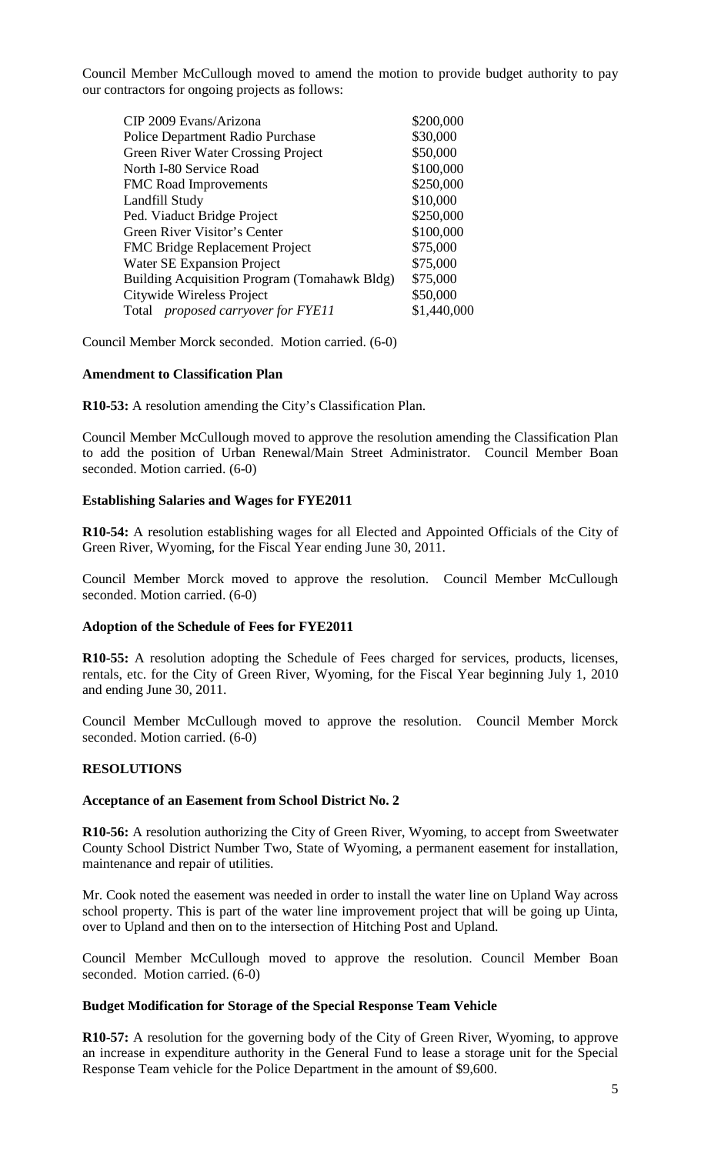Council Member McCullough moved to amend the motion to provide budget authority to pay our contractors for ongoing projects as follows:

| CIP 2009 Evans/Arizona                       | \$200,000   |
|----------------------------------------------|-------------|
| Police Department Radio Purchase             | \$30,000    |
| <b>Green River Water Crossing Project</b>    | \$50,000    |
| North I-80 Service Road                      | \$100,000   |
| <b>FMC</b> Road Improvements                 | \$250,000   |
| Landfill Study                               | \$10,000    |
| Ped. Viaduct Bridge Project                  | \$250,000   |
| Green River Visitor's Center                 | \$100,000   |
| <b>FMC Bridge Replacement Project</b>        | \$75,000    |
| Water SE Expansion Project                   | \$75,000    |
| Building Acquisition Program (Tomahawk Bldg) | \$75,000    |
| Citywide Wireless Project                    | \$50,000    |
| Total <i>proposed carryover for FYE11</i>    | \$1,440,000 |
|                                              |             |

Council Member Morck seconded. Motion carried. (6-0)

### **Amendment to Classification Plan**

**R10-53:** A resolution amending the City's Classification Plan.

Council Member McCullough moved to approve the resolution amending the Classification Plan to add the position of Urban Renewal/Main Street Administrator. Council Member Boan seconded. Motion carried. (6-0)

#### **Establishing Salaries and Wages for FYE2011**

**R10-54:** A resolution establishing wages for all Elected and Appointed Officials of the City of Green River, Wyoming, for the Fiscal Year ending June 30, 2011.

Council Member Morck moved to approve the resolution. Council Member McCullough seconded. Motion carried. (6-0)

#### **Adoption of the Schedule of Fees for FYE2011**

**R10-55:** A resolution adopting the Schedule of Fees charged for services, products, licenses, rentals, etc. for the City of Green River, Wyoming, for the Fiscal Year beginning July 1, 2010 and ending June 30, 2011.

Council Member McCullough moved to approve the resolution. Council Member Morck seconded. Motion carried. (6-0)

### **RESOLUTIONS**

#### **Acceptance of an Easement from School District No. 2**

**R10-56:** A resolution authorizing the City of Green River, Wyoming, to accept from Sweetwater County School District Number Two, State of Wyoming, a permanent easement for installation, maintenance and repair of utilities.

Mr. Cook noted the easement was needed in order to install the water line on Upland Way across school property. This is part of the water line improvement project that will be going up Uinta, over to Upland and then on to the intersection of Hitching Post and Upland.

Council Member McCullough moved to approve the resolution. Council Member Boan seconded. Motion carried. (6-0)

### **Budget Modification for Storage of the Special Response Team Vehicle**

**R10-57:** A resolution for the governing body of the City of Green River, Wyoming, to approve an increase in expenditure authority in the General Fund to lease a storage unit for the Special Response Team vehicle for the Police Department in the amount of \$9,600.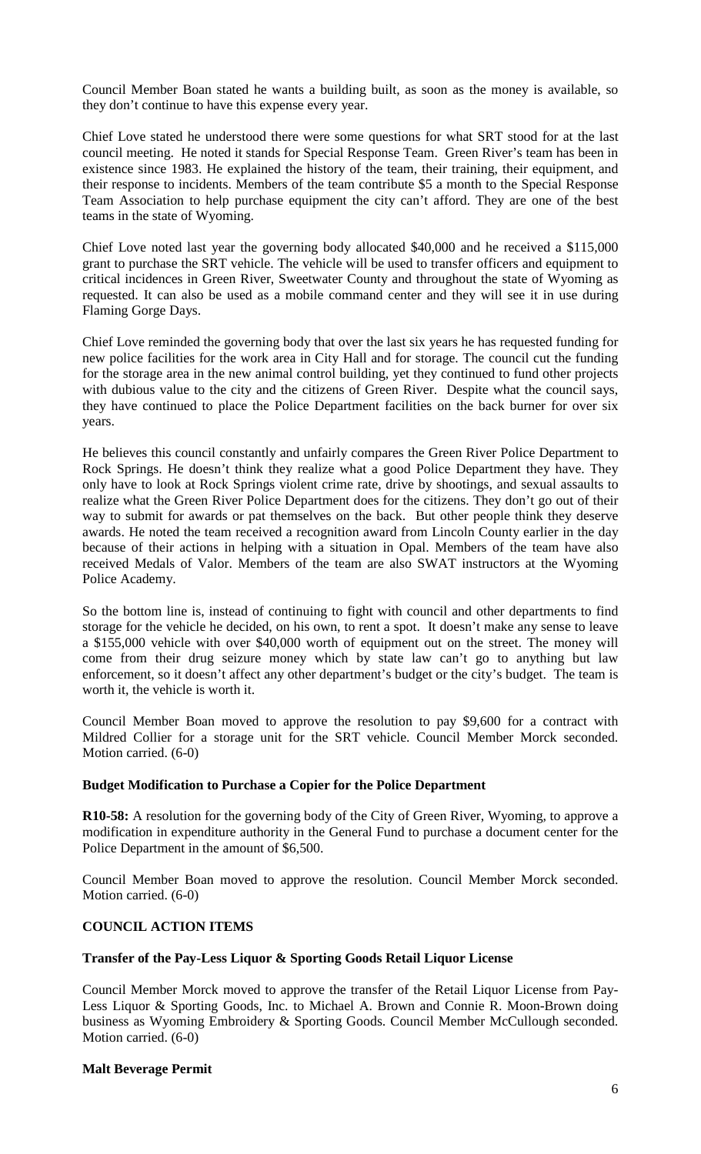Council Member Boan stated he wants a building built, as soon as the money is available, so they don't continue to have this expense every year.

Chief Love stated he understood there were some questions for what SRT stood for at the last council meeting. He noted it stands for Special Response Team. Green River's team has been in existence since 1983. He explained the history of the team, their training, their equipment, and their response to incidents. Members of the team contribute \$5 a month to the Special Response Team Association to help purchase equipment the city can't afford. They are one of the best teams in the state of Wyoming.

Chief Love noted last year the governing body allocated \$40,000 and he received a \$115,000 grant to purchase the SRT vehicle. The vehicle will be used to transfer officers and equipment to critical incidences in Green River, Sweetwater County and throughout the state of Wyoming as requested. It can also be used as a mobile command center and they will see it in use during Flaming Gorge Days.

Chief Love reminded the governing body that over the last six years he has requested funding for new police facilities for the work area in City Hall and for storage. The council cut the funding for the storage area in the new animal control building, yet they continued to fund other projects with dubious value to the city and the citizens of Green River. Despite what the council says, they have continued to place the Police Department facilities on the back burner for over six years.

He believes this council constantly and unfairly compares the Green River Police Department to Rock Springs. He doesn't think they realize what a good Police Department they have. They only have to look at Rock Springs violent crime rate, drive by shootings, and sexual assaults to realize what the Green River Police Department does for the citizens. They don't go out of their way to submit for awards or pat themselves on the back. But other people think they deserve awards. He noted the team received a recognition award from Lincoln County earlier in the day because of their actions in helping with a situation in Opal. Members of the team have also received Medals of Valor. Members of the team are also SWAT instructors at the Wyoming Police Academy.

So the bottom line is, instead of continuing to fight with council and other departments to find storage for the vehicle he decided, on his own, to rent a spot. It doesn't make any sense to leave a \$155,000 vehicle with over \$40,000 worth of equipment out on the street. The money will come from their drug seizure money which by state law can't go to anything but law enforcement, so it doesn't affect any other department's budget or the city's budget. The team is worth it, the vehicle is worth it.

Council Member Boan moved to approve the resolution to pay \$9,600 for a contract with Mildred Collier for a storage unit for the SRT vehicle. Council Member Morck seconded. Motion carried. (6-0)

### **Budget Modification to Purchase a Copier for the Police Department**

**R10-58:** A resolution for the governing body of the City of Green River, Wyoming, to approve a modification in expenditure authority in the General Fund to purchase a document center for the Police Department in the amount of \$6,500.

Council Member Boan moved to approve the resolution. Council Member Morck seconded. Motion carried. (6-0)

## **COUNCIL ACTION ITEMS**

## **Transfer of the Pay-Less Liquor & Sporting Goods Retail Liquor License**

Council Member Morck moved to approve the transfer of the Retail Liquor License from Pay-Less Liquor & Sporting Goods, Inc. to Michael A. Brown and Connie R. Moon-Brown doing business as Wyoming Embroidery & Sporting Goods. Council Member McCullough seconded. Motion carried. (6-0)

### **Malt Beverage Permit**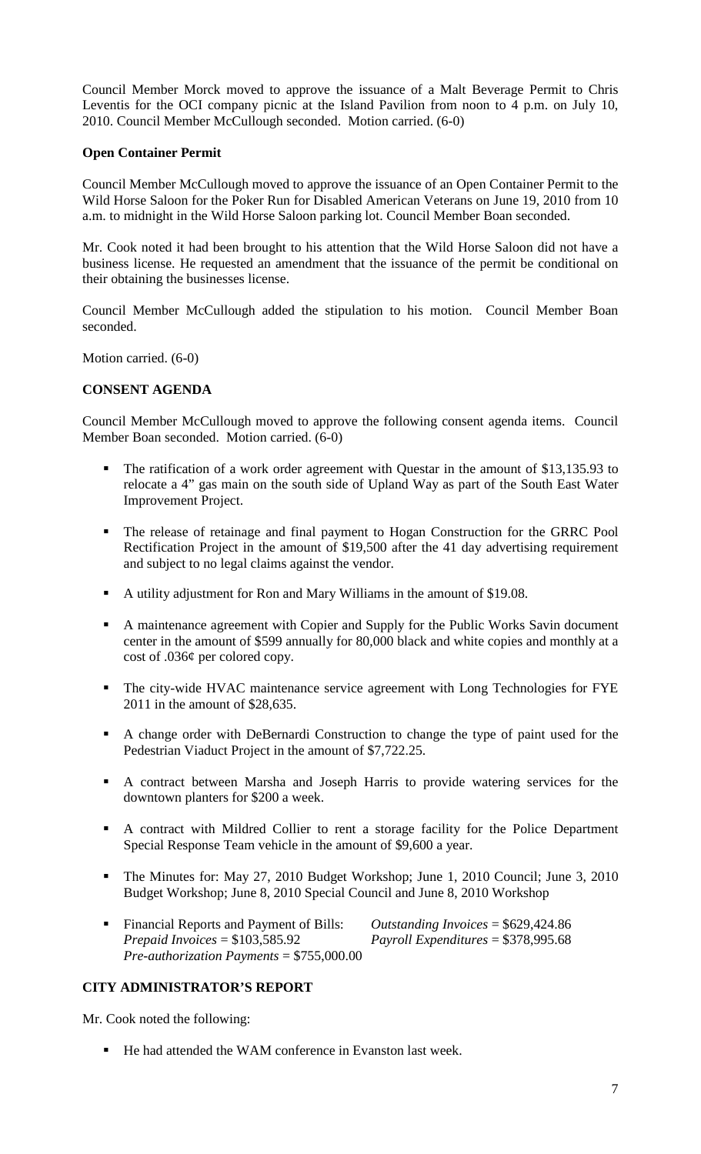Council Member Morck moved to approve the issuance of a Malt Beverage Permit to Chris Leventis for the OCI company picnic at the Island Pavilion from noon to 4 p.m. on July 10, 2010. Council Member McCullough seconded. Motion carried. (6-0)

### **Open Container Permit**

Council Member McCullough moved to approve the issuance of an Open Container Permit to the Wild Horse Saloon for the Poker Run for Disabled American Veterans on June 19, 2010 from 10 a.m. to midnight in the Wild Horse Saloon parking lot. Council Member Boan seconded.

Mr. Cook noted it had been brought to his attention that the Wild Horse Saloon did not have a business license. He requested an amendment that the issuance of the permit be conditional on their obtaining the businesses license.

Council Member McCullough added the stipulation to his motion. Council Member Boan seconded.

Motion carried. (6-0)

## **CONSENT AGENDA**

Council Member McCullough moved to approve the following consent agenda items. Council Member Boan seconded. Motion carried. (6-0)

- The ratification of a work order agreement with Questar in the amount of \$13,135.93 to relocate a 4" gas main on the south side of Upland Way as part of the South East Water Improvement Project.
- The release of retainage and final payment to Hogan Construction for the GRRC Pool Rectification Project in the amount of \$19,500 after the 41 day advertising requirement and subject to no legal claims against the vendor.
- A utility adjustment for Ron and Mary Williams in the amount of \$19.08.
- A maintenance agreement with Copier and Supply for the Public Works Savin document center in the amount of \$599 annually for 80,000 black and white copies and monthly at a cost of .036¢ per colored copy.
- The city-wide HVAC maintenance service agreement with Long Technologies for FYE 2011 in the amount of \$28,635.
- A change order with DeBernardi Construction to change the type of paint used for the Pedestrian Viaduct Project in the amount of \$7,722.25.
- A contract between Marsha and Joseph Harris to provide watering services for the downtown planters for \$200 a week.
- A contract with Mildred Collier to rent a storage facility for the Police Department Special Response Team vehicle in the amount of \$9,600 a year.
- The Minutes for: May 27, 2010 Budget Workshop; June 1, 2010 Council; June 3, 2010 Budget Workshop; June 8, 2010 Special Council and June 8, 2010 Workshop
- Financial Reports and Payment of Bills: *Outstanding Invoices* = \$629,424.86 *Prepaid Invoices* = \$103,585.92 *Payroll Expenditures* = \$378,995.68 *Pre-authorization Payments* = \$755,000.00

## **CITY ADMINISTRATOR'S REPORT**

Mr. Cook noted the following:

■ He had attended the WAM conference in Evanston last week.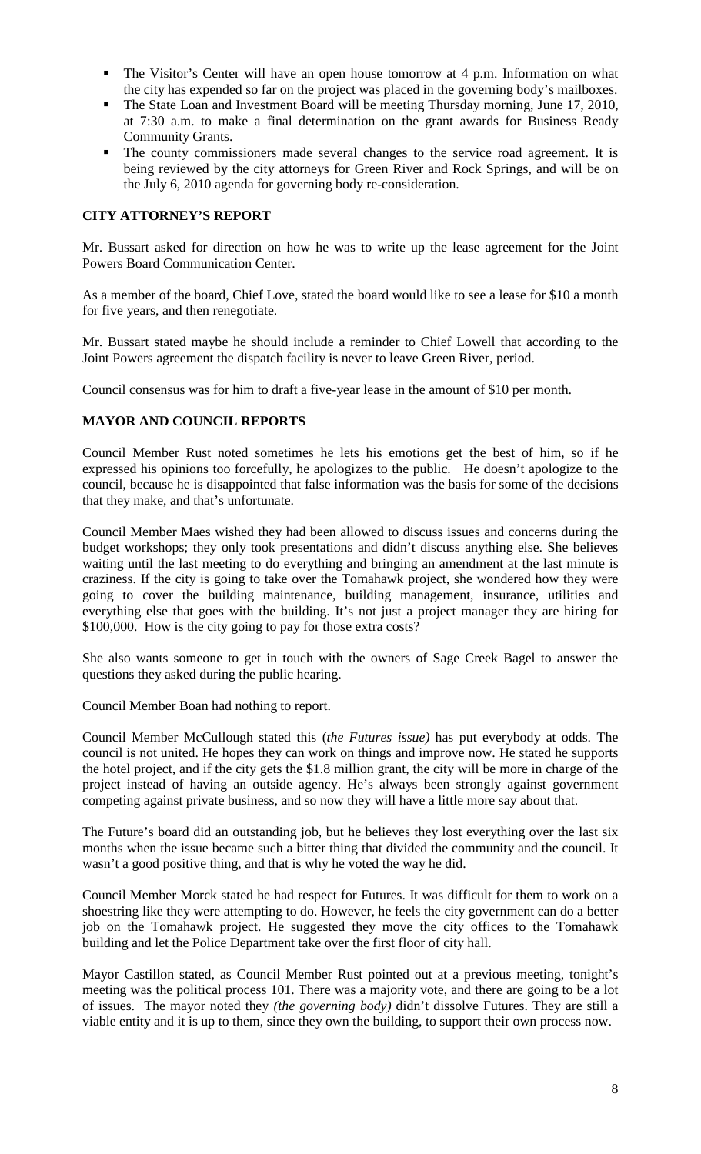- The Visitor's Center will have an open house tomorrow at 4 p.m. Information on what the city has expended so far on the project was placed in the governing body's mailboxes.
- The State Loan and Investment Board will be meeting Thursday morning, June 17, 2010, at 7:30 a.m. to make a final determination on the grant awards for Business Ready Community Grants.
- The county commissioners made several changes to the service road agreement. It is being reviewed by the city attorneys for Green River and Rock Springs, and will be on the July 6, 2010 agenda for governing body re-consideration.

## **CITY ATTORNEY'S REPORT**

Mr. Bussart asked for direction on how he was to write up the lease agreement for the Joint Powers Board Communication Center.

As a member of the board, Chief Love, stated the board would like to see a lease for \$10 a month for five years, and then renegotiate.

Mr. Bussart stated maybe he should include a reminder to Chief Lowell that according to the Joint Powers agreement the dispatch facility is never to leave Green River, period.

Council consensus was for him to draft a five-year lease in the amount of \$10 per month.

## **MAYOR AND COUNCIL REPORTS**

Council Member Rust noted sometimes he lets his emotions get the best of him, so if he expressed his opinions too forcefully, he apologizes to the public. He doesn't apologize to the council, because he is disappointed that false information was the basis for some of the decisions that they make, and that's unfortunate.

Council Member Maes wished they had been allowed to discuss issues and concerns during the budget workshops; they only took presentations and didn't discuss anything else. She believes waiting until the last meeting to do everything and bringing an amendment at the last minute is craziness. If the city is going to take over the Tomahawk project, she wondered how they were going to cover the building maintenance, building management, insurance, utilities and everything else that goes with the building. It's not just a project manager they are hiring for \$100,000. How is the city going to pay for those extra costs?

She also wants someone to get in touch with the owners of Sage Creek Bagel to answer the questions they asked during the public hearing.

Council Member Boan had nothing to report.

Council Member McCullough stated this (*the Futures issue)* has put everybody at odds. The council is not united. He hopes they can work on things and improve now. He stated he supports the hotel project, and if the city gets the \$1.8 million grant, the city will be more in charge of the project instead of having an outside agency. He's always been strongly against government competing against private business, and so now they will have a little more say about that.

The Future's board did an outstanding job, but he believes they lost everything over the last six months when the issue became such a bitter thing that divided the community and the council. It wasn't a good positive thing, and that is why he voted the way he did.

Council Member Morck stated he had respect for Futures. It was difficult for them to work on a shoestring like they were attempting to do. However, he feels the city government can do a better job on the Tomahawk project. He suggested they move the city offices to the Tomahawk building and let the Police Department take over the first floor of city hall.

Mayor Castillon stated, as Council Member Rust pointed out at a previous meeting, tonight's meeting was the political process 101. There was a majority vote, and there are going to be a lot of issues. The mayor noted they *(the governing body)* didn't dissolve Futures. They are still a viable entity and it is up to them, since they own the building, to support their own process now.